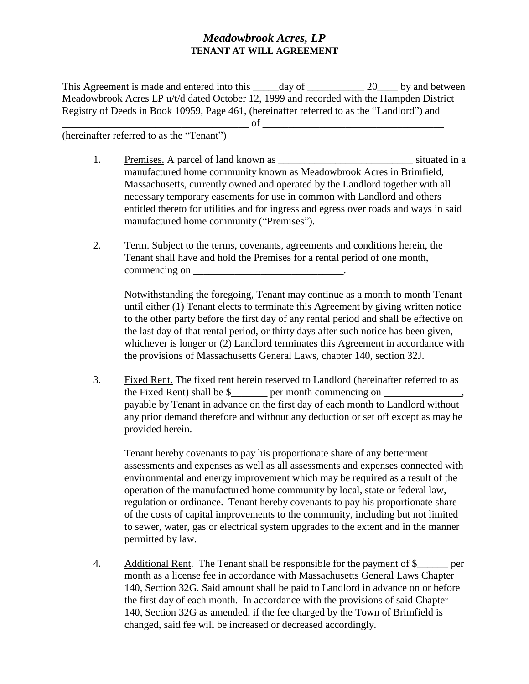## *Meadowbrook Acres, LP*  **TENANT AT WILL AGREEMENT**

This Agreement is made and entered into this \_\_\_\_\_day of \_\_\_\_\_\_\_\_\_\_\_\_\_\_ 20\_\_\_\_\_ by and between Meadowbrook Acres LP u/t/d dated October 12, 1999 and recorded with the Hampden District Registry of Deeds in Book 10959, Page 461, (hereinafter referred to as the "Landlord") and \_\_\_\_\_\_\_\_\_\_\_\_\_\_\_\_\_\_\_\_\_\_\_\_\_\_\_\_\_\_\_\_\_\_\_\_ of \_\_\_\_\_\_\_\_\_\_\_\_\_\_\_\_\_\_\_\_\_\_\_\_\_\_\_\_\_\_\_\_\_\_\_

(hereinafter referred to as the "Tenant")

- 1. Premises. A parcel of land known as \_\_\_\_\_\_\_\_\_\_\_\_\_\_\_\_\_\_\_\_\_\_\_\_\_\_\_\_\_\_\_\_ situated in a manufactured home community known as Meadowbrook Acres in Brimfield, Massachusetts, currently owned and operated by the Landlord together with all necessary temporary easements for use in common with Landlord and others entitled thereto for utilities and for ingress and egress over roads and ways in said manufactured home community ("Premises").
- 2. Term. Subject to the terms, covenants, agreements and conditions herein, the Tenant shall have and hold the Premises for a rental period of one month, commencing on  $\blacksquare$

Notwithstanding the foregoing, Tenant may continue as a month to month Tenant until either (1) Tenant elects to terminate this Agreement by giving written notice to the other party before the first day of any rental period and shall be effective on the last day of that rental period, or thirty days after such notice has been given, whichever is longer or (2) Landlord terminates this Agreement in accordance with the provisions of Massachusetts General Laws, chapter 140, section 32J.

3. Fixed Rent. The fixed rent herein reserved to Landlord (hereinafter referred to as the Fixed Rent) shall be  $\frac{1}{2}$  per month commencing on payable by Tenant in advance on the first day of each month to Landlord without any prior demand therefore and without any deduction or set off except as may be provided herein.

Tenant hereby covenants to pay his proportionate share of any betterment assessments and expenses as well as all assessments and expenses connected with environmental and energy improvement which may be required as a result of the operation of the manufactured home community by local, state or federal law, regulation or ordinance. Tenant hereby covenants to pay his proportionate share of the costs of capital improvements to the community, including but not limited to sewer, water, gas or electrical system upgrades to the extent and in the manner permitted by law.

4. Additional Rent. The Tenant shall be responsible for the payment of \$\_\_\_\_\_\_ per month as a license fee in accordance with Massachusetts General Laws Chapter 140, Section 32G. Said amount shall be paid to Landlord in advance on or before the first day of each month. In accordance with the provisions of said Chapter 140, Section 32G as amended, if the fee charged by the Town of Brimfield is changed, said fee will be increased or decreased accordingly.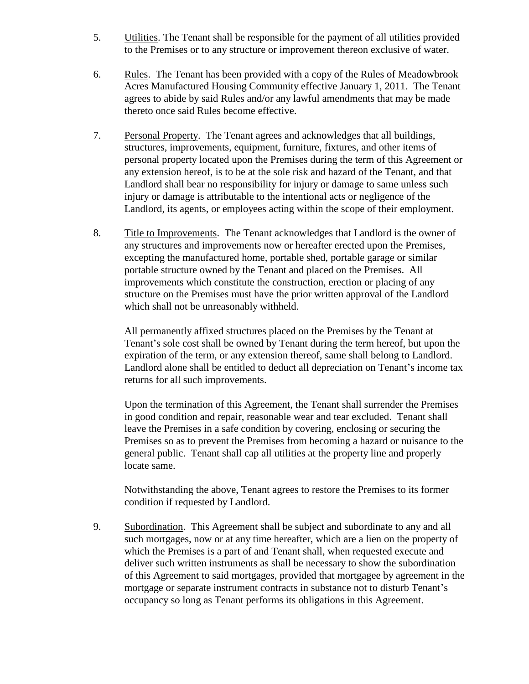- 5. Utilities. The Tenant shall be responsible for the payment of all utilities provided to the Premises or to any structure or improvement thereon exclusive of water.
- 6. Rules. The Tenant has been provided with a copy of the Rules of Meadowbrook Acres Manufactured Housing Community effective January 1, 2011. The Tenant agrees to abide by said Rules and/or any lawful amendments that may be made thereto once said Rules become effective.
- 7. Personal Property. The Tenant agrees and acknowledges that all buildings, structures, improvements, equipment, furniture, fixtures, and other items of personal property located upon the Premises during the term of this Agreement or any extension hereof, is to be at the sole risk and hazard of the Tenant, and that Landlord shall bear no responsibility for injury or damage to same unless such injury or damage is attributable to the intentional acts or negligence of the Landlord, its agents, or employees acting within the scope of their employment.
- 8. Title to Improvements. The Tenant acknowledges that Landlord is the owner of any structures and improvements now or hereafter erected upon the Premises, excepting the manufactured home, portable shed, portable garage or similar portable structure owned by the Tenant and placed on the Premises. All improvements which constitute the construction, erection or placing of any structure on the Premises must have the prior written approval of the Landlord which shall not be unreasonably withheld.

All permanently affixed structures placed on the Premises by the Tenant at Tenant's sole cost shall be owned by Tenant during the term hereof, but upon the expiration of the term, or any extension thereof, same shall belong to Landlord. Landlord alone shall be entitled to deduct all depreciation on Tenant's income tax returns for all such improvements.

Upon the termination of this Agreement, the Tenant shall surrender the Premises in good condition and repair, reasonable wear and tear excluded. Tenant shall leave the Premises in a safe condition by covering, enclosing or securing the Premises so as to prevent the Premises from becoming a hazard or nuisance to the general public. Tenant shall cap all utilities at the property line and properly locate same.

Notwithstanding the above, Tenant agrees to restore the Premises to its former condition if requested by Landlord.

9. Subordination. This Agreement shall be subject and subordinate to any and all such mortgages, now or at any time hereafter, which are a lien on the property of which the Premises is a part of and Tenant shall, when requested execute and deliver such written instruments as shall be necessary to show the subordination of this Agreement to said mortgages, provided that mortgagee by agreement in the mortgage or separate instrument contracts in substance not to disturb Tenant's occupancy so long as Tenant performs its obligations in this Agreement.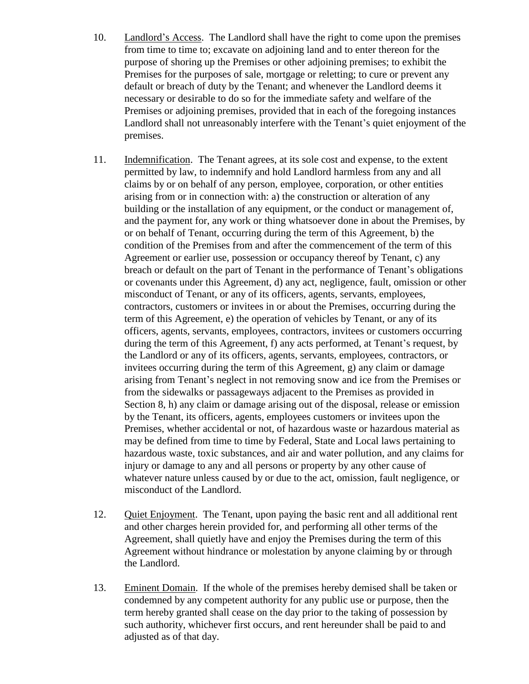- 10. Landlord's Access. The Landlord shall have the right to come upon the premises from time to time to; excavate on adjoining land and to enter thereon for the purpose of shoring up the Premises or other adjoining premises; to exhibit the Premises for the purposes of sale, mortgage or reletting; to cure or prevent any default or breach of duty by the Tenant; and whenever the Landlord deems it necessary or desirable to do so for the immediate safety and welfare of the Premises or adjoining premises, provided that in each of the foregoing instances Landlord shall not unreasonably interfere with the Tenant's quiet enjoyment of the premises.
- 11. Indemnification. The Tenant agrees, at its sole cost and expense, to the extent permitted by law, to indemnify and hold Landlord harmless from any and all claims by or on behalf of any person, employee, corporation, or other entities arising from or in connection with: a) the construction or alteration of any building or the installation of any equipment, or the conduct or management of, and the payment for, any work or thing whatsoever done in about the Premises, by or on behalf of Tenant, occurring during the term of this Agreement, b) the condition of the Premises from and after the commencement of the term of this Agreement or earlier use, possession or occupancy thereof by Tenant, c) any breach or default on the part of Tenant in the performance of Tenant's obligations or covenants under this Agreement, d) any act, negligence, fault, omission or other misconduct of Tenant, or any of its officers, agents, servants, employees, contractors, customers or invitees in or about the Premises, occurring during the term of this Agreement, e) the operation of vehicles by Tenant, or any of its officers, agents, servants, employees, contractors, invitees or customers occurring during the term of this Agreement, f) any acts performed, at Tenant's request, by the Landlord or any of its officers, agents, servants, employees, contractors, or invitees occurring during the term of this Agreement, g) any claim or damage arising from Tenant's neglect in not removing snow and ice from the Premises or from the sidewalks or passageways adjacent to the Premises as provided in Section 8, h) any claim or damage arising out of the disposal, release or emission by the Tenant, its officers, agents, employees customers or invitees upon the Premises, whether accidental or not, of hazardous waste or hazardous material as may be defined from time to time by Federal, State and Local laws pertaining to hazardous waste, toxic substances, and air and water pollution, and any claims for injury or damage to any and all persons or property by any other cause of whatever nature unless caused by or due to the act, omission, fault negligence, or misconduct of the Landlord.
- 12. Quiet Enjoyment. The Tenant, upon paying the basic rent and all additional rent and other charges herein provided for, and performing all other terms of the Agreement, shall quietly have and enjoy the Premises during the term of this Agreement without hindrance or molestation by anyone claiming by or through the Landlord.
- 13. Eminent Domain. If the whole of the premises hereby demised shall be taken or condemned by any competent authority for any public use or purpose, then the term hereby granted shall cease on the day prior to the taking of possession by such authority, whichever first occurs, and rent hereunder shall be paid to and adjusted as of that day.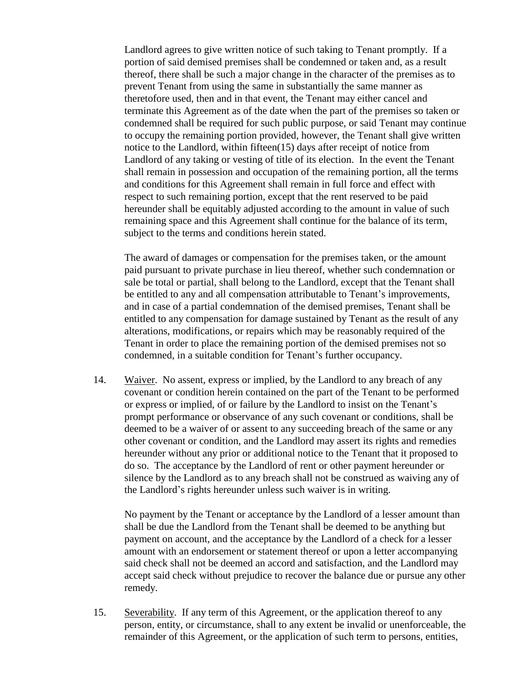Landlord agrees to give written notice of such taking to Tenant promptly. If a portion of said demised premises shall be condemned or taken and, as a result thereof, there shall be such a major change in the character of the premises as to prevent Tenant from using the same in substantially the same manner as theretofore used, then and in that event, the Tenant may either cancel and terminate this Agreement as of the date when the part of the premises so taken or condemned shall be required for such public purpose, or said Tenant may continue to occupy the remaining portion provided, however, the Tenant shall give written notice to the Landlord, within fifteen(15) days after receipt of notice from Landlord of any taking or vesting of title of its election. In the event the Tenant shall remain in possession and occupation of the remaining portion, all the terms and conditions for this Agreement shall remain in full force and effect with respect to such remaining portion, except that the rent reserved to be paid hereunder shall be equitably adjusted according to the amount in value of such remaining space and this Agreement shall continue for the balance of its term, subject to the terms and conditions herein stated.

The award of damages or compensation for the premises taken, or the amount paid pursuant to private purchase in lieu thereof, whether such condemnation or sale be total or partial, shall belong to the Landlord, except that the Tenant shall be entitled to any and all compensation attributable to Tenant's improvements, and in case of a partial condemnation of the demised premises, Tenant shall be entitled to any compensation for damage sustained by Tenant as the result of any alterations, modifications, or repairs which may be reasonably required of the Tenant in order to place the remaining portion of the demised premises not so condemned, in a suitable condition for Tenant's further occupancy.

14. Waiver. No assent, express or implied, by the Landlord to any breach of any covenant or condition herein contained on the part of the Tenant to be performed or express or implied, of or failure by the Landlord to insist on the Tenant's prompt performance or observance of any such covenant or conditions, shall be deemed to be a waiver of or assent to any succeeding breach of the same or any other covenant or condition, and the Landlord may assert its rights and remedies hereunder without any prior or additional notice to the Tenant that it proposed to do so. The acceptance by the Landlord of rent or other payment hereunder or silence by the Landlord as to any breach shall not be construed as waiving any of the Landlord's rights hereunder unless such waiver is in writing.

No payment by the Tenant or acceptance by the Landlord of a lesser amount than shall be due the Landlord from the Tenant shall be deemed to be anything but payment on account, and the acceptance by the Landlord of a check for a lesser amount with an endorsement or statement thereof or upon a letter accompanying said check shall not be deemed an accord and satisfaction, and the Landlord may accept said check without prejudice to recover the balance due or pursue any other remedy.

15. Severability. If any term of this Agreement, or the application thereof to any person, entity, or circumstance, shall to any extent be invalid or unenforceable, the remainder of this Agreement, or the application of such term to persons, entities,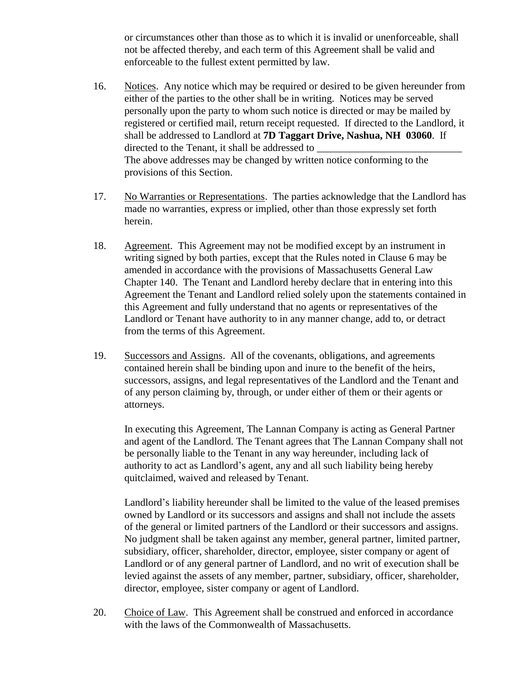or circumstances other than those as to which it is invalid or unenforceable, shall not be affected thereby, and each term of this Agreement shall be valid and enforceable to the fullest extent permitted by law.

- 16. Notices. Any notice which may be required or desired to be given hereunder from either of the parties to the other shall be in writing. Notices may be served personally upon the party to whom such notice is directed or may be mailed by registered or certified mail, return receipt requested. If directed to the Landlord, it shall be addressed to Landlord at **7D Taggart Drive, Nashua, NH 03060**. If directed to the Tenant, it shall be addressed to The above addresses may be changed by written notice conforming to the provisions of this Section.
- 17. No Warranties or Representations. The parties acknowledge that the Landlord has made no warranties, express or implied, other than those expressly set forth herein.
- 18. Agreement. This Agreement may not be modified except by an instrument in writing signed by both parties, except that the Rules noted in Clause 6 may be amended in accordance with the provisions of Massachusetts General Law Chapter 140. The Tenant and Landlord hereby declare that in entering into this Agreement the Tenant and Landlord relied solely upon the statements contained in this Agreement and fully understand that no agents or representatives of the Landlord or Tenant have authority to in any manner change, add to, or detract from the terms of this Agreement.
- 19. Successors and Assigns. All of the covenants, obligations, and agreements contained herein shall be binding upon and inure to the benefit of the heirs, successors, assigns, and legal representatives of the Landlord and the Tenant and of any person claiming by, through, or under either of them or their agents or attorneys.

In executing this Agreement, The Lannan Company is acting as General Partner and agent of the Landlord. The Tenant agrees that The Lannan Company shall not be personally liable to the Tenant in any way hereunder, including lack of authority to act as Landlord's agent, any and all such liability being hereby quitclaimed, waived and released by Tenant.

Landlord's liability hereunder shall be limited to the value of the leased premises owned by Landlord or its successors and assigns and shall not include the assets of the general or limited partners of the Landlord or their successors and assigns. No judgment shall be taken against any member, general partner, limited partner, subsidiary, officer, shareholder, director, employee, sister company or agent of Landlord or of any general partner of Landlord, and no writ of execution shall be levied against the assets of any member, partner, subsidiary, officer, shareholder, director, employee, sister company or agent of Landlord.

20. Choice of Law. This Agreement shall be construed and enforced in accordance with the laws of the Commonwealth of Massachusetts.